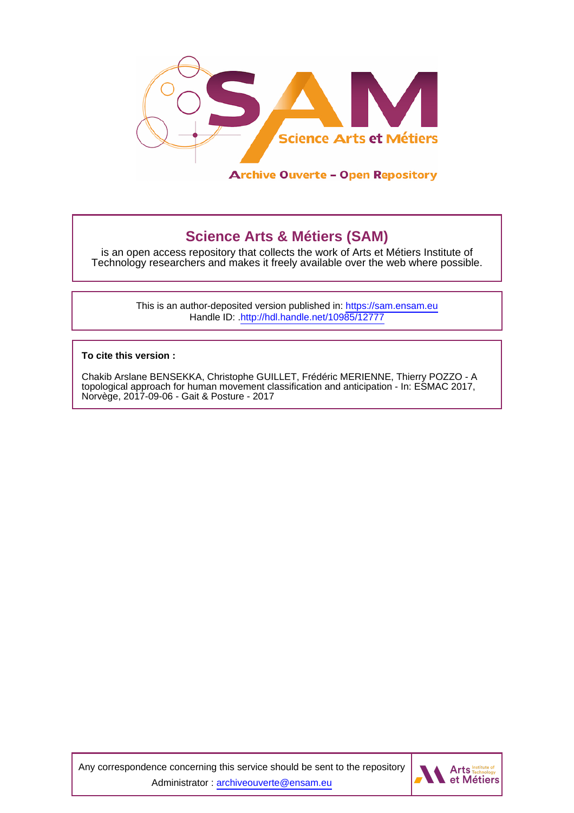

# **Science Arts & Métiers (SAM)**

is an open access repository that collects the work of Arts et Métiers Institute of Technology researchers and makes it freely available over the web where possible.

> This is an author-deposited version published in:<https://sam.ensam.eu> Handle ID: [.http://hdl.handle.net/10985/12777](http://hdl.handle.net/10985/12777)

**To cite this version :**

Chakib Arslane BENSEKKA, Christophe GUILLET, Frédéric MERIENNE, Thierry POZZO - A topological approach for human movement classification and anticipation - In: ESMAC 2017, Norvège, 2017-09-06 - Gait & Posture - 2017

Any correspondence concerning this service should be sent to the repository Administrator : [archiveouverte@ensam.eu](mailto:archiveouverte@ensam.eu)

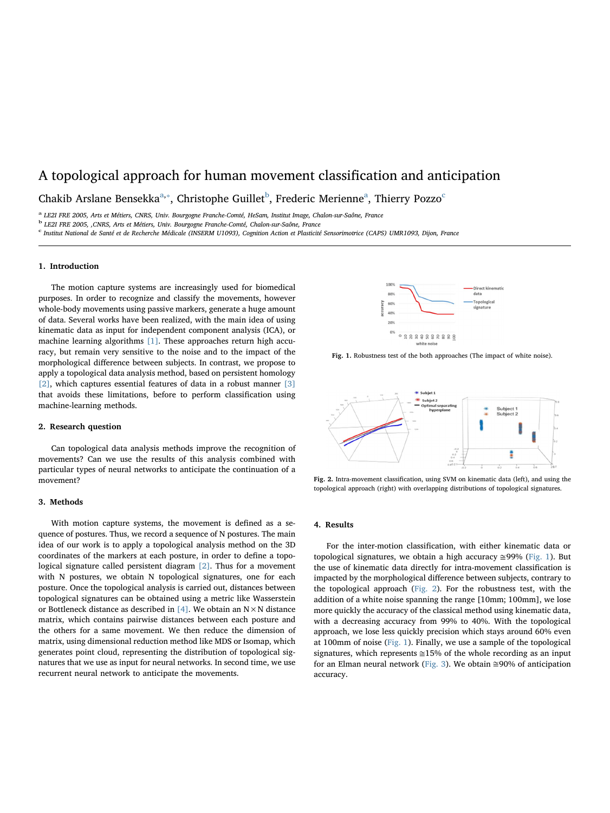# A topological approach for human movement classification and anticipation

Ch[a](#page-1-0)ki[b](#page-1-1) Arslane Bensekka<sup>a,\*</sup>, Christophe Guillet<sup>b</sup>, Frederi[c](#page-1-2) Merienne<sup>a</sup>, Thierry Pozzo<sup>c</sup>

<span id="page-1-0"></span><sup>a</sup> LE2I FRE 2005, Arts et Métiers, CNRS, Univ. Bourgogne Franche-Comté, HeSam, Institut Image, Chalon-sur-Saône, France

<span id="page-1-1"></span><sup>b</sup> LE2I FRE 2005, ,CNRS, Arts et Métiers, Univ. Bourgogne Franche-Comté, Chalon-sur-Saône, France

<span id="page-1-2"></span><sup>c</sup> Institut National de Santé et de Recherche Médicale (INSERM U1093), Cognition Action et Plasticité Sensorimotrice (CAPS) UMR1093, Dijon, France

#### 1. Introduction

The motion capture systems are increasingly used for biomedical purposes. In order to recognize and classify the movements, however whole-body movements using passive markers, generate a huge amount of data. Several works have been realized, with the main idea of using kinematic data as input for independent component analysis (ICA), or machine learning algorithms [\[1\].](#page-2-0) These approaches return high accuracy, but remain very sensitive to the noise and to the impact of the morphological difference between subjects. In contrast, we propose to apply a topological data analysis method, based on persistent homology [\[2\],](#page-2-1) which captures essential features of data in a robust manner [\[3\]](#page-2-2) that avoids these limitations, before to perform classification using machine-learning methods.

#### 2. Research question

Can topological data analysis methods improve the recognition of movements? Can we use the results of this analysis combined with particular types of neural networks to anticipate the continuation of a movement?

## 3. Methods

With motion capture systems, the movement is defined as a sequence of postures. Thus, we record a sequence of N postures. The main idea of our work is to apply a topological analysis method on the 3D coordinates of the markers at each posture, in order to define a topological signature called persistent diagram [\[2\]](#page-2-1). Thus for a movement with N postures, we obtain N topological signatures, one for each posture. Once the topological analysis is carried out, distances between topological signatures can be obtained using a metric like Wasserstein or Bottleneck distance as described in [\[4\]](#page-2-3). We obtain an  $N \times N$  distance matrix, which contains pairwise distances between each posture and the others for a same movement. We then reduce the dimension of matrix, using dimensional reduction method like MDS or Isomap, which generates point cloud, representing the distribution of topological signatures that we use as input for neural networks. In second time, we use recurrent neural network to anticipate the movements.

<span id="page-1-3"></span>

Fig. 1. Robustness test of the both approaches (The impact of white noise).

<span id="page-1-4"></span>

Fig. 2. Intra-movement classification, using SVM on kinematic data (left), and using the topological approach (right) with overlapping distributions of topological signatures.

### 4. Results

For the inter-motion classification, with either kinematic data or topological signatures, we obtain a high accuracy  $\approx$ 99% ([Fig. 1](#page-1-3)). But the use of kinematic data directly for intra-movement classification is impacted by the morphological difference between subjects, contrary to the topological approach ([Fig. 2\)](#page-1-4). For the robustness test, with the addition of a white noise spanning the range [10mm; 100mm], we lose more quickly the accuracy of the classical method using kinematic data, with a decreasing accuracy from 99% to 40%. With the topological approach, we lose less quickly precision which stays around 60% even at 100mm of noise [\(Fig. 1](#page-1-3)). Finally, we use a sample of the topological signatures, which represents  $\approx$  15% of the whole recording as an input for an Elman neural network [\(Fig. 3](#page-2-4)). We obtain  $\approx$ 90% of anticipation accuracy.